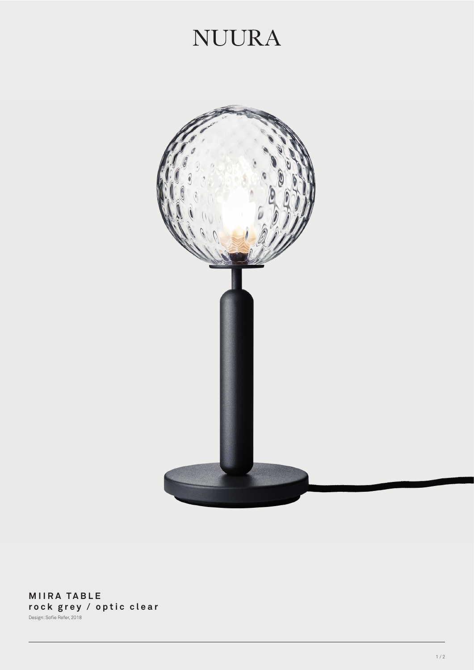## **NUURA**



**MIIRA TABLE rock grey / optic clear** Design: Sofie Refer, 2018